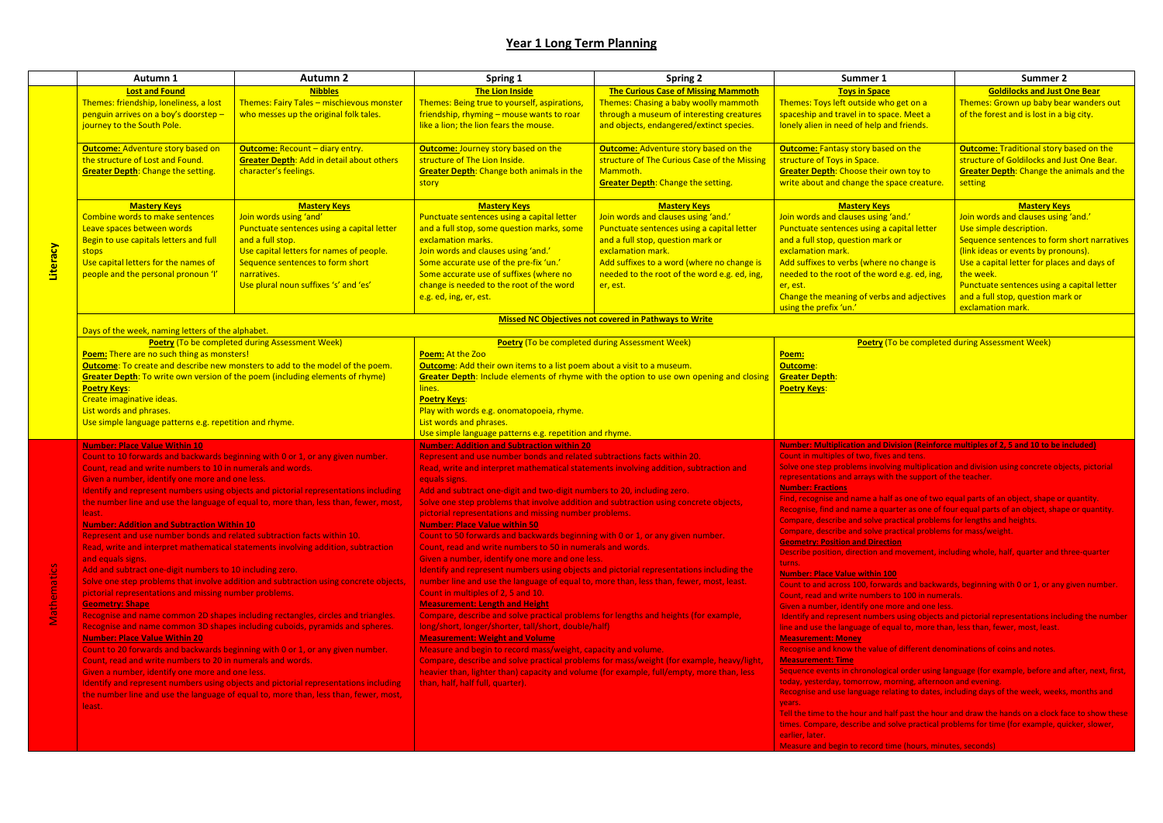| $\mathbf{1}$        | Summer 2                                         |
|---------------------|--------------------------------------------------|
| ace                 | <b>Goldilocks and Just One Bear</b>              |
| who get on a        | Themes: Grown up baby bear wanders out           |
| space. Meet a       | of the forest and is lost in a big city.         |
| <b>and friends.</b> |                                                  |
|                     |                                                  |
| ased on the         | <b>Outcome: Traditional story based on the</b>   |
|                     | structure of Goldilocks and Just One Bear.       |
| eir own toy to      | <b>Greater Depth:</b> Change the animals and the |
| le space creature.  | setting                                          |
|                     |                                                  |
| eys                 | <b>Mastery Keys</b>                              |
| ng 'and.'           | Join words and clauses using 'and.'              |
| z a capital letter  | Use simple description.                          |
| iark or             | Sequence sentences to form short narratives      |
|                     | (link ideas or events by pronouns).              |
| re no change is     | Use a capital letter for places and days of      |
| word e.g. ed, ing,  | the week.                                        |
|                     | Punctuate sentences using a capital letter       |
| rbs and adjectives  | and a full stop, question mark or                |
|                     | exclamation mark.                                |
|                     |                                                  |

#### **Number: Number: Multiples of 2, 5 and 10 to be included)**

ving multiplication and division using concrete objects, pictorial h the support of the teacher.

alf as one of two equal parts of an object, shape or quantity.

- uarter as one of four equal parts of an object, shape or quantity.
- practical problems for lengths and heights.
- practical problems for mass/weight.

|             | Autumn 1                                                                                                                                                                                                                                                                                                                                                                                                                                                                                                                                                                                                                                                                                                                                                                                                                                                                                                                                                                                                                                                                                                                                                                                                                                                                                                                                                                                                                                                                                                                      | <b>Autumn 2</b>                                                                                                                                                                                                                                         | Spring 1                                                                                                                                                                                                                                                                                                                                                                                                                                                                                                                                                                                                                                                                                                                                                                                                                                                                                                                                                                                                                                                                                                                                                                                                                                                                                                                                                                                                                                                                       | <b>Spring 2</b>                                                                                                                                                                                                                                                              | Summer 1                                                                                                                                                                                                                                                                                                                                                                                                                                                                                                                                                                                                                                                                                                                                                                                                                                                                                                                                                                                                                                                                                                                                                                                                                                                                                                                                                                                                                                                                                                                                                                                                                                                                                                                                                                                                                                | <b>Summer 2</b>                                                                                                                                                                                                                                                                  |
|-------------|-------------------------------------------------------------------------------------------------------------------------------------------------------------------------------------------------------------------------------------------------------------------------------------------------------------------------------------------------------------------------------------------------------------------------------------------------------------------------------------------------------------------------------------------------------------------------------------------------------------------------------------------------------------------------------------------------------------------------------------------------------------------------------------------------------------------------------------------------------------------------------------------------------------------------------------------------------------------------------------------------------------------------------------------------------------------------------------------------------------------------------------------------------------------------------------------------------------------------------------------------------------------------------------------------------------------------------------------------------------------------------------------------------------------------------------------------------------------------------------------------------------------------------|---------------------------------------------------------------------------------------------------------------------------------------------------------------------------------------------------------------------------------------------------------|--------------------------------------------------------------------------------------------------------------------------------------------------------------------------------------------------------------------------------------------------------------------------------------------------------------------------------------------------------------------------------------------------------------------------------------------------------------------------------------------------------------------------------------------------------------------------------------------------------------------------------------------------------------------------------------------------------------------------------------------------------------------------------------------------------------------------------------------------------------------------------------------------------------------------------------------------------------------------------------------------------------------------------------------------------------------------------------------------------------------------------------------------------------------------------------------------------------------------------------------------------------------------------------------------------------------------------------------------------------------------------------------------------------------------------------------------------------------------------|------------------------------------------------------------------------------------------------------------------------------------------------------------------------------------------------------------------------------------------------------------------------------|-----------------------------------------------------------------------------------------------------------------------------------------------------------------------------------------------------------------------------------------------------------------------------------------------------------------------------------------------------------------------------------------------------------------------------------------------------------------------------------------------------------------------------------------------------------------------------------------------------------------------------------------------------------------------------------------------------------------------------------------------------------------------------------------------------------------------------------------------------------------------------------------------------------------------------------------------------------------------------------------------------------------------------------------------------------------------------------------------------------------------------------------------------------------------------------------------------------------------------------------------------------------------------------------------------------------------------------------------------------------------------------------------------------------------------------------------------------------------------------------------------------------------------------------------------------------------------------------------------------------------------------------------------------------------------------------------------------------------------------------------------------------------------------------------------------------------------------------|----------------------------------------------------------------------------------------------------------------------------------------------------------------------------------------------------------------------------------------------------------------------------------|
|             | <b>Lost and Found</b>                                                                                                                                                                                                                                                                                                                                                                                                                                                                                                                                                                                                                                                                                                                                                                                                                                                                                                                                                                                                                                                                                                                                                                                                                                                                                                                                                                                                                                                                                                         | <b>Nibbles</b>                                                                                                                                                                                                                                          | The Lion Inside                                                                                                                                                                                                                                                                                                                                                                                                                                                                                                                                                                                                                                                                                                                                                                                                                                                                                                                                                                                                                                                                                                                                                                                                                                                                                                                                                                                                                                                                | <b>The Curious Case of Missing Mammoth</b>                                                                                                                                                                                                                                   | <b>Toys in Space</b>                                                                                                                                                                                                                                                                                                                                                                                                                                                                                                                                                                                                                                                                                                                                                                                                                                                                                                                                                                                                                                                                                                                                                                                                                                                                                                                                                                                                                                                                                                                                                                                                                                                                                                                                                                                                                    | <b>Goldilocks and Just (</b>                                                                                                                                                                                                                                                     |
|             | Themes: friendship, loneliness, a lost<br>penguin arrives on a boy's doorstep -<br>journey to the South Pole.                                                                                                                                                                                                                                                                                                                                                                                                                                                                                                                                                                                                                                                                                                                                                                                                                                                                                                                                                                                                                                                                                                                                                                                                                                                                                                                                                                                                                 | Themes: Fairy Tales - mischievous monster<br>who messes up the original folk tales.                                                                                                                                                                     | Themes: Being true to yourself, aspirations,<br>friendship, rhyming - mouse wants to roar<br>like a lion; the lion fears the mouse.                                                                                                                                                                                                                                                                                                                                                                                                                                                                                                                                                                                                                                                                                                                                                                                                                                                                                                                                                                                                                                                                                                                                                                                                                                                                                                                                            | Themes: Chasing a baby woolly mammoth<br>through a museum of interesting creatures<br>and objects, endangered/extinct species.                                                                                                                                               | Themes: Toys left outside who get on a<br>spaceship and travel in to space. Meet a<br>lonely alien in need of help and friends.                                                                                                                                                                                                                                                                                                                                                                                                                                                                                                                                                                                                                                                                                                                                                                                                                                                                                                                                                                                                                                                                                                                                                                                                                                                                                                                                                                                                                                                                                                                                                                                                                                                                                                         | Themes: Grown up baby bea<br>of the forest and is lost in a I                                                                                                                                                                                                                    |
| Literacy    | <b>Outcome: Adventure story based on</b><br>the structure of Lost and Found.<br><b>Greater Depth: Change the setting.</b>                                                                                                                                                                                                                                                                                                                                                                                                                                                                                                                                                                                                                                                                                                                                                                                                                                                                                                                                                                                                                                                                                                                                                                                                                                                                                                                                                                                                     | <b>Outcome: Recount - diary entry.</b><br><b>Greater Depth: Add in detail about others</b><br>character's feelings.                                                                                                                                     | <b>Outcome: Journey story based on the</b><br>structure of The Lion Inside.<br><b>Greater Depth:</b> Change both animals in the<br>story                                                                                                                                                                                                                                                                                                                                                                                                                                                                                                                                                                                                                                                                                                                                                                                                                                                                                                                                                                                                                                                                                                                                                                                                                                                                                                                                       | <b>Outcome: Adventure story based on the</b><br>structure of The Curious Case of the Missing<br>Mammoth.<br><b>Greater Depth: Change the setting.</b>                                                                                                                        | <b>Outcome: Fantasy story based on the</b><br>structure of Toys in Space.<br><b>Greater Depth: Choose their own toy to</b><br>write about and change the space creature.                                                                                                                                                                                                                                                                                                                                                                                                                                                                                                                                                                                                                                                                                                                                                                                                                                                                                                                                                                                                                                                                                                                                                                                                                                                                                                                                                                                                                                                                                                                                                                                                                                                                | <b>Outcome: Traditional story l</b><br>structure of Goldilocks and J<br><b>Greater Depth: Change the a</b><br>setting                                                                                                                                                            |
|             | <b>Mastery Keys</b><br>Combine words to make sentences<br>Leave spaces between words<br>Begin to use capitals letters and full<br>stops<br>Use capital letters for the names of<br>people and the personal pronoun 'I'                                                                                                                                                                                                                                                                                                                                                                                                                                                                                                                                                                                                                                                                                                                                                                                                                                                                                                                                                                                                                                                                                                                                                                                                                                                                                                        | <b>Mastery Keys</b><br>Join words using 'and'<br>Punctuate sentences using a capital letter<br>and a full stop.<br>Use capital letters for names of people.<br>Sequence sentences to form short<br>narratives.<br>Use plural noun suffixes 's' and 'es' | <b>Mastery Keys</b><br>Punctuate sentences using a capital letter<br>and a full stop, some question marks, some<br>exclamation marks.<br>Join words and clauses using 'and.'<br>Some accurate use of the pre-fix 'un.'<br>Some accurate use of suffixes (where no<br>change is needed to the root of the word<br>e.g. ed, ing, er, est.                                                                                                                                                                                                                                                                                                                                                                                                                                                                                                                                                                                                                                                                                                                                                                                                                                                                                                                                                                                                                                                                                                                                        | <b>Mastery Keys</b><br>Join words and clauses using 'and.'<br>Punctuate sentences using a capital letter<br>and a full stop, question mark or<br>exclamation mark.<br>Add suffixes to a word (where no change is<br>needed to the root of the word e.g. ed, ing,<br>er, est. | <b>Mastery Keys</b><br>Join words and clauses using 'and.'<br>Punctuate sentences using a capital letter<br>and a full stop, question mark or<br>exclamation mark.<br>Add suffixes to verbs (where no change is<br>needed to the root of the word e.g. ed, ing,<br>er, est.<br>Change the meaning of verbs and adjectives<br>using the prefix 'un.'                                                                                                                                                                                                                                                                                                                                                                                                                                                                                                                                                                                                                                                                                                                                                                                                                                                                                                                                                                                                                                                                                                                                                                                                                                                                                                                                                                                                                                                                                     | <b>Mastery Key</b><br>Join words and clauses using<br>Use simple description.<br>Sequence sentences to form<br>(link ideas or events by pron<br>Use a capital letter for place<br>the week.<br>Punctuate sentences using a<br>and a full stop, question mai<br>exclamation mark. |
|             |                                                                                                                                                                                                                                                                                                                                                                                                                                                                                                                                                                                                                                                                                                                                                                                                                                                                                                                                                                                                                                                                                                                                                                                                                                                                                                                                                                                                                                                                                                                               |                                                                                                                                                                                                                                                         |                                                                                                                                                                                                                                                                                                                                                                                                                                                                                                                                                                                                                                                                                                                                                                                                                                                                                                                                                                                                                                                                                                                                                                                                                                                                                                                                                                                                                                                                                | <b>Missed NC Objectives not covered in Pathways to Write</b>                                                                                                                                                                                                                 |                                                                                                                                                                                                                                                                                                                                                                                                                                                                                                                                                                                                                                                                                                                                                                                                                                                                                                                                                                                                                                                                                                                                                                                                                                                                                                                                                                                                                                                                                                                                                                                                                                                                                                                                                                                                                                         |                                                                                                                                                                                                                                                                                  |
|             | Days of the week, naming letters of the alphabet.                                                                                                                                                                                                                                                                                                                                                                                                                                                                                                                                                                                                                                                                                                                                                                                                                                                                                                                                                                                                                                                                                                                                                                                                                                                                                                                                                                                                                                                                             |                                                                                                                                                                                                                                                         |                                                                                                                                                                                                                                                                                                                                                                                                                                                                                                                                                                                                                                                                                                                                                                                                                                                                                                                                                                                                                                                                                                                                                                                                                                                                                                                                                                                                                                                                                |                                                                                                                                                                                                                                                                              |                                                                                                                                                                                                                                                                                                                                                                                                                                                                                                                                                                                                                                                                                                                                                                                                                                                                                                                                                                                                                                                                                                                                                                                                                                                                                                                                                                                                                                                                                                                                                                                                                                                                                                                                                                                                                                         |                                                                                                                                                                                                                                                                                  |
|             | <b>Poetry (To be completed during Assessment Week)</b><br>Poem: There are no such thing as monsters!<br>Outcome: To create and describe new monsters to add to the model of the poem.<br>Greater Depth: To write own version of the poem (including elements of rhyme)<br><b>Poetry Keys:</b><br>Create imaginative ideas.<br>List words and phrases.<br>Use simple language patterns e.g. repetition and rhyme.                                                                                                                                                                                                                                                                                                                                                                                                                                                                                                                                                                                                                                                                                                                                                                                                                                                                                                                                                                                                                                                                                                              |                                                                                                                                                                                                                                                         | <b>Poetry (To be completed during Assessment Week)</b><br>Poem: At the Zoo<br><b>Outcome:</b> Add their own items to a list poem about a visit to a museum.<br>Greater Depth: Include elements of rhyme with the option to use own opening and closing<br>lines.<br><b>Poetry Keys:</b><br>Play with words e.g. onomatopoeia, rhyme.<br>List words and phrases.<br>Use simple language patterns e.g. repetition and rhyme.                                                                                                                                                                                                                                                                                                                                                                                                                                                                                                                                                                                                                                                                                                                                                                                                                                                                                                                                                                                                                                                     |                                                                                                                                                                                                                                                                              | Poem:<br>Outcome:<br><b>Greater Depth:</b><br>Poetry Keys:                                                                                                                                                                                                                                                                                                                                                                                                                                                                                                                                                                                                                                                                                                                                                                                                                                                                                                                                                                                                                                                                                                                                                                                                                                                                                                                                                                                                                                                                                                                                                                                                                                                                                                                                                                              | Poetry (To be completed during Assessment Week)                                                                                                                                                                                                                                  |
| Mathematics | <b>Number: Place Value Within 10</b><br>Count to 10 forwards and backwards beginning with 0 or 1, or any given number.<br>Count, read and write numbers to 10 in numerals and words.<br>Given a number, identify one more and one less.<br>Identify and represent numbers using objects and pictorial representations including<br>the number line and use the language of equal to, more than, less than, fewer, most,<br>least.<br><b>Number: Addition and Subtraction Within 10</b><br>Represent and use number bonds and related subtraction facts within 10.<br>Read, write and interpret mathematical statements involving addition, subtraction<br>and equals signs.<br>Add and subtract one-digit numbers to 10 including zero.<br>Solve one step problems that involve addition and subtraction using concrete objects,<br>pictorial representations and missing number problems.<br><b>Geometry: Shape</b><br>Recognise and name common 2D shapes including rectangles, circles and triangles.<br>Recognise and name common 3D shapes including cuboids, pyramids and spheres.<br><b>Number: Place Value Within 20</b><br>Count to 20 forwards and backwards beginning with 0 or 1, or any given number.<br>Count, read and write numbers to 20 in numerals and words.<br>Given a number, identify one more and one less.<br>Identify and represent numbers using objects and pictorial representations including<br>the number line and use the language of equal to, more than, less than, fewer, most,<br>least. |                                                                                                                                                                                                                                                         | <b>Number: Addition and Subtraction within 20</b><br>Represent and use number bonds and related subtractions facts within 20.<br>Read, write and interpret mathematical statements involving addition, subtraction and<br>equals signs.<br>Add and subtract one-digit and two-digit numbers to 20, including zero.<br>Solve one step problems that involve addition and subtraction using concrete objects,<br>pictorial representations and missing number problems.<br><b>Number: Place Value within 50</b><br>Count to 50 forwards and backwards beginning with 0 or 1, or any given number.<br>Count, read and write numbers to 50 in numerals and words.<br>Given a number, identify one more and one less.<br>Identify and represent numbers using objects and pictorial representations including the<br>number line and use the language of equal to, more than, less than, fewer, most, least.<br>Count in multiples of 2, 5 and 10.<br><b>Measurement: Length and Height</b><br>Compare, describe and solve practical problems for lengths and heights (for example,<br>long/short, longer/shorter, tall/short, double/half)<br><b>Measurement: Weight and Volume</b><br>Measure and begin to record mass/weight, capacity and volume.<br>Compare, describe and solve practical problems for mass/weight (for example, heavy/light,<br>heavier than, lighter than) capacity and volume (for example, full/empty, more than, less<br>than, half, half full, quarter). |                                                                                                                                                                                                                                                                              | Number: Multiplication and Division (Reinforce multiples of 2, 5 and 10 to be in<br>Count in multiples of two, fives and tens.<br>Solve one step problems involving multiplication and division using concrete obj<br>representations and arrays with the support of the teacher.<br><b>Number: Fractions</b><br>Find, recognise and name a half as one of two equal parts of an object, shape or<br>Recognise, find and name a quarter as one of four equal parts of an object, shap<br>Compare, describe and solve practical problems for lengths and heights.<br>Compare, describe and solve practical problems for mass/weight.<br><b>Geometry: Position and Direction</b><br>Describe position, direction and movement, including whole, half, quarter and the<br>turns.<br><b>Number: Place Value within 100</b><br>Count to and across 100, forwards and backwards, beginning with 0 or 1, or any<br>Count, read and write numbers to 100 in numerals.<br>Given a number, identify one more and one less.<br>Identify and represent numbers using objects and pictorial representations inclu<br>line and use the language of equal to, more than, less than, fewer, most, least.<br><b>Measurement: Money</b><br>Recognise and know the value of different denominations of coins and notes.<br><b>Measurement: Time</b><br>Sequence events in chronological order using language (for example, before and<br>today, yesterday, tomorrow, morning, afternoon and evening.<br>Recognise and use language relating to dates, including days of the week, weeks<br>years.<br>Tell the time to the hour and half past the hour and draw the hands on a clock fa<br>times. Compare, describe and solve practical problems for time (for example, qu<br>earlier, later.<br>Measure and begin to record time (bours, minutes, seconds) |                                                                                                                                                                                                                                                                                  |

#### **Geometry: Position and Direction**

nd movement, including whole, half, quarter and three-quarter

 $r$ ards and backwards, beginning with 0 or 1, or any given number.  $\overline{\text{r}}$ s to 100 in numerals.

ers using objects and pictorial representations including the number qual to, more than, less than, fewer, most, least.

ical order using language (for example, before and after, next, first, morning, afternoon and evening. elating to dates, including days of the week, weeks, months and

half past the hour and draw the hands on a clock face to show these the practical problems for time (for example, quicker, slower,

ne (hours, minutes, seconds)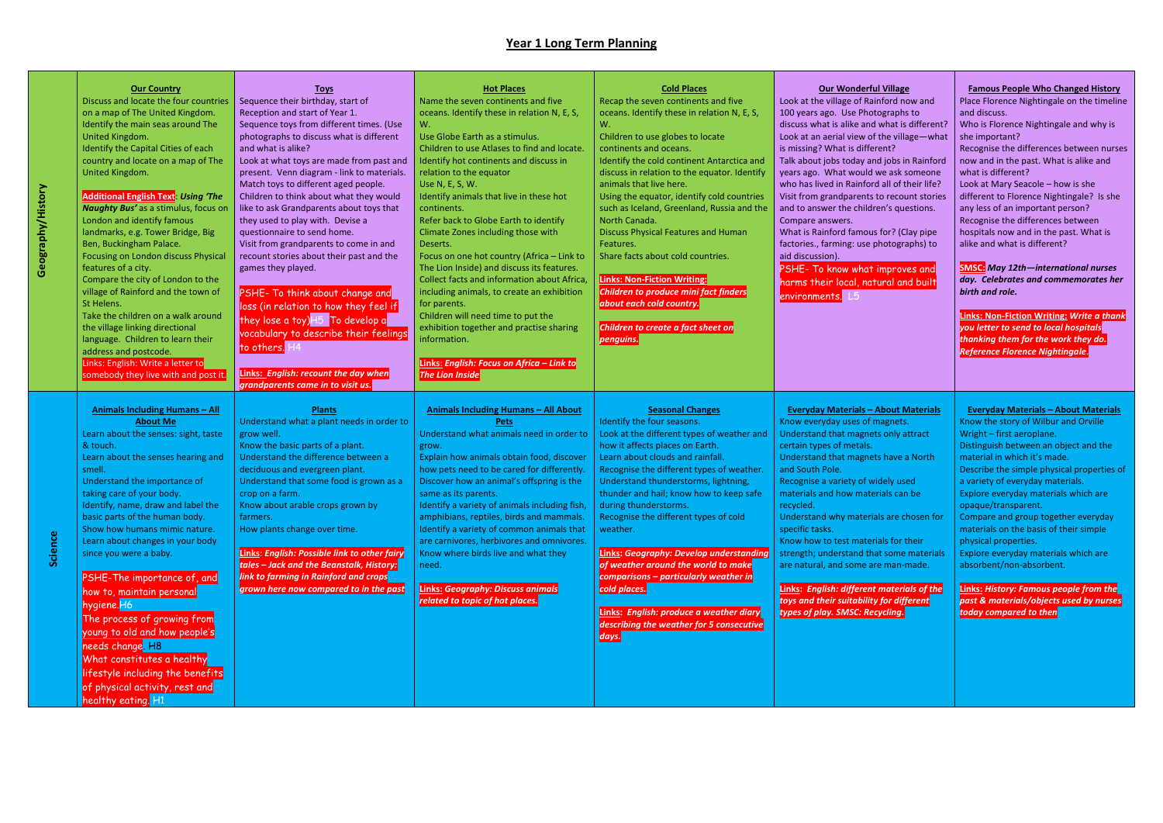| <b>Our Country</b><br>Discuss and locate the four countries<br>on a map of The United Kingdom.<br>Identify the main seas around The<br>United Kingdom.<br>Identify the Capital Cities of each<br>country and locate on a map of The<br>United Kingdom.<br><b>Additional English Text: Using 'The</b><br><b>Naughty Bus'</b> as a stimulus, focus on<br>London and identify famous<br>landmarks, e.g. Tower Bridge, Big<br>Ben, Buckingham Palace.<br>Focusing on London discuss Physical<br>features of a city.<br>Compare the city of London to the<br>village of Rainford and the town of<br>St Helens.<br>Take the children on a walk around<br>the village linking directional<br>language. Children to learn their<br>address and postcode.<br>Links: English: Write a letter to<br>somebody they live with and post it | <b>Toys</b><br>Sequence their birthday, start of<br>Reception and start of Year 1.<br>Sequence toys from different times. (Use<br>photographs to discuss what is different<br>and what is alike?<br>Look at what toys are made from past and<br>present. Venn diagram - link to materials.<br>Match toys to different aged people.<br>Children to think about what they would<br>like to ask Grandparents about toys that<br>they used to play with. Devise a<br>questionnaire to send home.<br>Visit from grandparents to come in and<br>recount stories about their past and the<br>games they played.<br>PSHE- To think about change and<br>loss (in relation to how they feel if<br>they lose a toy) H5 To develop a<br>vocabulary to describe their feelings<br>to others. H4<br>Links: English: recount the day when<br>grandparents came in to visit us. | <b>Hot Places</b><br>Name the seven continents and five<br>oceans. Identify these in relation N, E, S,<br>W.<br>Use Globe Earth as a stimulus.<br>Children to use Atlases to find and locate.<br>Identify hot continents and discuss in<br>relation to the equator<br>Use N, E, S, W.<br>Identify animals that live in these hot<br>continents.<br>Refer back to Globe Earth to identify<br>Climate Zones including those with<br>Deserts.<br>Focus on one hot country (Africa - Link to<br>The Lion Inside) and discuss its features.<br>Collect facts and information about Africa,<br>including animals, to create an exhibition<br>for parents.<br>Children will need time to put the<br>exhibition together and practise sharing<br>information.<br>Links: English: Focus on Africa - Link to<br><b>The Lion Inside</b> | <b>Cold Places</b><br>Recap the seven continents and five<br>oceans. Identify these in relation N, E, S,<br>W.<br>Children to use globes to locate<br>continents and oceans.<br>Identify the cold continent Antarctica and<br>discuss in relation to the equator. Identify<br>animals that live here.<br>Using the equator, identify cold countries<br>such as Iceland, Greenland, Russia and the<br>North Canada.<br><b>Discuss Physical Features and Human</b><br>Features.<br>Share facts about cold countries.<br><b>Links: Non-Fiction Writing:</b><br><b>Children to produce mini fact finders</b><br>about each cold country.<br>Children to create a fact sheet on<br>penguins. | <b>Our Wonderful Village</b><br>Look at the village of Rainford now and<br>100 years ago. Use Photographs to<br>discuss what is alike and what is different?<br>Look at an aerial view of the village-what<br>is missing? What is different?<br>Talk about jobs today and jobs in Rainford<br>years ago. What would we ask someone<br>who has lived in Rainford all of their life?<br>Visit from grandparents to recount stories<br>and to answer the children's questions.<br>Compare answers.<br>What is Rainford famous for? (Clay pipe<br>factories., farming: use photographs) to<br>aid discussion).<br>PSHE- To know what improves and<br>harms their local, natural and built<br>environments. L5 | <b>Famous People Who Changed History</b><br>Place Florence Nightingale on the timeline<br>and discuss.<br>Who is Florence Nightingale and why is<br>she important?<br>Recognise the differences between nurses<br>now and in the past. What is alike and<br>what is different?<br>Look at Mary Seacole - how is she<br>different to Florence Nightingale? Is she<br>any less of an important person?<br>Recognise the differences between<br>hospitals now and in the past. What is<br>alike and what is different?<br><b>SMSC:</b> May 12th-international nurses<br>day. Celebrates and commemorates her<br>birth and role.<br>Links: Non-Fiction Writing: Write a thank<br>you letter to send to local hospitals<br>thanking them for the work they do.<br>Reference Florence Nightingale. |
|------------------------------------------------------------------------------------------------------------------------------------------------------------------------------------------------------------------------------------------------------------------------------------------------------------------------------------------------------------------------------------------------------------------------------------------------------------------------------------------------------------------------------------------------------------------------------------------------------------------------------------------------------------------------------------------------------------------------------------------------------------------------------------------------------------------------------|-----------------------------------------------------------------------------------------------------------------------------------------------------------------------------------------------------------------------------------------------------------------------------------------------------------------------------------------------------------------------------------------------------------------------------------------------------------------------------------------------------------------------------------------------------------------------------------------------------------------------------------------------------------------------------------------------------------------------------------------------------------------------------------------------------------------------------------------------------------------|------------------------------------------------------------------------------------------------------------------------------------------------------------------------------------------------------------------------------------------------------------------------------------------------------------------------------------------------------------------------------------------------------------------------------------------------------------------------------------------------------------------------------------------------------------------------------------------------------------------------------------------------------------------------------------------------------------------------------------------------------------------------------------------------------------------------------|-----------------------------------------------------------------------------------------------------------------------------------------------------------------------------------------------------------------------------------------------------------------------------------------------------------------------------------------------------------------------------------------------------------------------------------------------------------------------------------------------------------------------------------------------------------------------------------------------------------------------------------------------------------------------------------------|-----------------------------------------------------------------------------------------------------------------------------------------------------------------------------------------------------------------------------------------------------------------------------------------------------------------------------------------------------------------------------------------------------------------------------------------------------------------------------------------------------------------------------------------------------------------------------------------------------------------------------------------------------------------------------------------------------------|----------------------------------------------------------------------------------------------------------------------------------------------------------------------------------------------------------------------------------------------------------------------------------------------------------------------------------------------------------------------------------------------------------------------------------------------------------------------------------------------------------------------------------------------------------------------------------------------------------------------------------------------------------------------------------------------------------------------------------------------------------------------------------------------|
| <b>Animals Including Humans - All</b><br><b>About Me</b><br>Learn about the senses: sight, taste<br>& touch.<br>Learn about the senses hearing and<br>smell.<br>Understand the importance of<br>taking care of your body.<br>Identify, name, draw and label the<br>basic parts of the human body.<br>Show how humans mimic nature.<br>Learn about changes in your body<br>since you were a baby.<br><b>PSHE-The importance of, and</b><br>how to, maintain personal<br>hygiene. H6<br>The process of growing from<br>young to old and how people's<br>needs change <mark>. H8</mark><br>What constitutes a healthy<br>lifestyle including the benefits<br>of physical activity, rest and<br><b>healthy eating.</b> H1                                                                                                        | <b>Plants</b><br>Understand what a plant needs in order to<br>grow well.<br>Know the basic parts of a plant.<br>Understand the difference between a<br>deciduous and evergreen plant.<br>Understand that some food is grown as a<br>crop on a farm.<br>Know about arable crops grown by<br>farmers.<br>How plants change over time.<br>Links: English: Possible link to other fairy<br>tales – Jack and the Beanstalk, History:<br>link to farming in Rainford and crops<br>grown here now compared to in the past                                                                                                                                                                                                                                                                                                                                              | <b>Animals Including Humans - All About</b><br><b>Pets</b><br>Understand what animals need in order to<br>grow.<br>Explain how animals obtain food, discover<br>how pets need to be cared for differently.<br>Discover how an animal's offspring is the<br>same as its parents.<br>Identify a variety of animals including fish,<br>amphibians, reptiles, birds and mammals.<br>Identify a variety of common animals that<br>are carnivores, herbivores and omnivores.<br>Know where birds live and what they<br>need.<br><b>Links: Geography: Discuss animals</b><br>related to topic of hot places.                                                                                                                                                                                                                        | <b>Seasonal Changes</b><br>Identify the four seasons.<br>Look at the different types of weather and<br>how it affects places on Earth.<br>Learn about clouds and rainfall.<br>Recognise the different types of weather.<br>Understand thunderstorms, lightning,<br>thunder and hail; know how to keep safe<br>during thunderstorms.<br>Recognise the different types of cold<br>weather.<br><b>Links: Geography: Develop understanding</b><br>of weather around the world to make<br>comparisons - particularly weather in<br>cold places.<br>Links: English: produce a weather diary<br>describing the weather for 5 consecutive<br><mark>days.</mark>                                 | <b>Everyday Materials - About Materials</b><br>Know everyday uses of magnets.<br>Understand that magnets only attract<br>certain types of metals.<br>Understand that magnets have a North<br>and South Pole.<br>Recognise a variety of widely used<br>materials and how materials can be<br>recycled.<br>Understand why materials are chosen for<br>specific tasks.<br>Know how to test materials for their<br>strength; understand that some materials<br>are natural, and some are man-made.<br><b>Links: English: different materials of the</b><br>toys and their suitability for different<br>types of play. SMSC: Recycling.                                                                        | <b>Everyday Materials - About Materials</b><br>Know the story of Wilbur and Orville<br>Wright - first aeroplane.<br>Distinguish between an object and the<br>material in which it's made.<br>Describe the simple physical properties of<br>a variety of everyday materials.<br>Explore everyday materials which are<br>opaque/transparent.<br>Compare and group together everyday<br>materials on the basis of their simple<br>physical properties.<br>Explore everyday materials which are<br>absorbent/non-absorbent.<br><b>Links: History: Famous people from the</b><br>past & materials/objects used by nurses<br>today compared to then                                                                                                                                                |

**Science**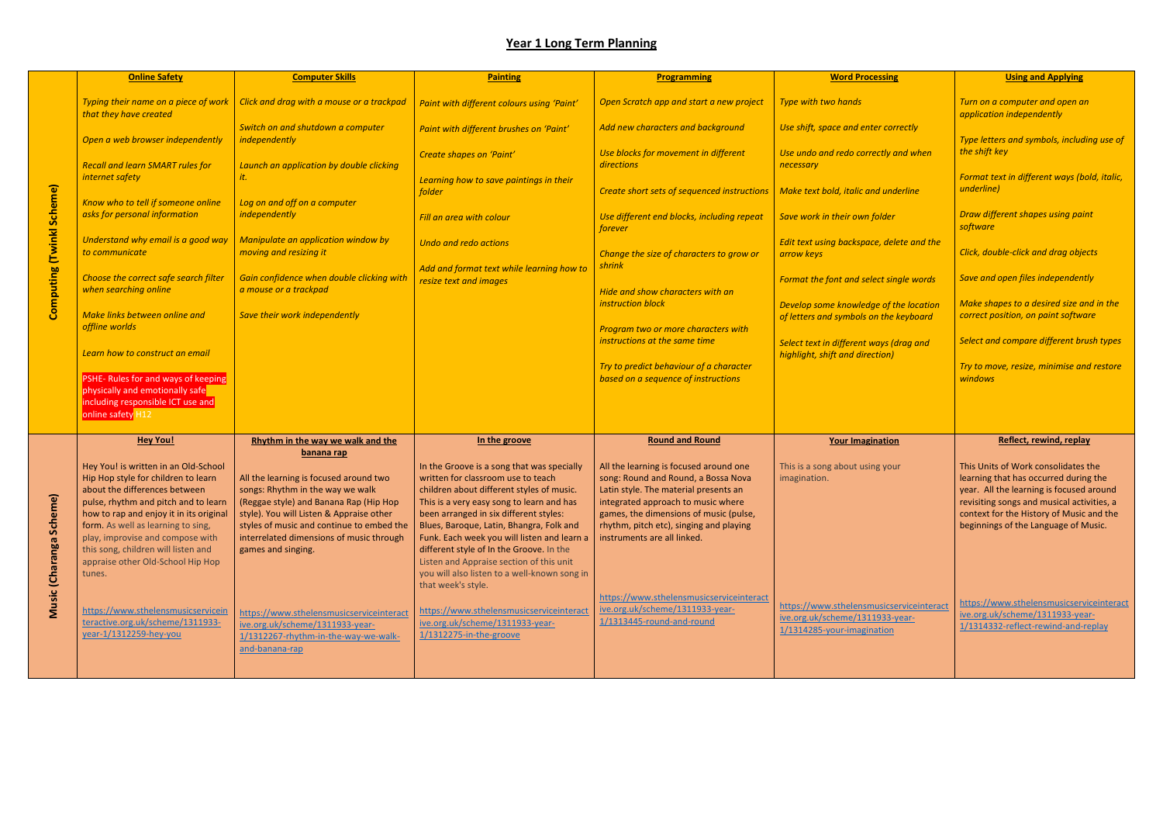|                                        | <b>Online Safety</b>                                                                                                                                                                                                                                                                                                                                            | <b>Computer Skills</b>                                                                                                                                                                                                                                                          | <b>Painting</b>                                                                                                                                                                                                                                                                                                                                                                                                                                                               | <b>Programming</b>                                                                                                                                                                                                                                                                                                           | <b>Word Processing</b>                                                                                    |
|----------------------------------------|-----------------------------------------------------------------------------------------------------------------------------------------------------------------------------------------------------------------------------------------------------------------------------------------------------------------------------------------------------------------|---------------------------------------------------------------------------------------------------------------------------------------------------------------------------------------------------------------------------------------------------------------------------------|-------------------------------------------------------------------------------------------------------------------------------------------------------------------------------------------------------------------------------------------------------------------------------------------------------------------------------------------------------------------------------------------------------------------------------------------------------------------------------|------------------------------------------------------------------------------------------------------------------------------------------------------------------------------------------------------------------------------------------------------------------------------------------------------------------------------|-----------------------------------------------------------------------------------------------------------|
|                                        | Typing their name on a piece of work<br>that they have created                                                                                                                                                                                                                                                                                                  | Click and drag with a mouse or a trackpad                                                                                                                                                                                                                                       | Paint with different colours using 'Paint'                                                                                                                                                                                                                                                                                                                                                                                                                                    | Open Scratch app and start a new project                                                                                                                                                                                                                                                                                     | Type with two hands                                                                                       |
|                                        | Open a web browser independently                                                                                                                                                                                                                                                                                                                                | Switch on and shutdown a computer<br>independently                                                                                                                                                                                                                              | Paint with different brushes on 'Paint'                                                                                                                                                                                                                                                                                                                                                                                                                                       | Add new characters and background                                                                                                                                                                                                                                                                                            | Use shift, space and enter correctly                                                                      |
|                                        | <b>Recall and learn SMART rules for</b><br>internet safety                                                                                                                                                                                                                                                                                                      | Launch an application by double clicking<br>it.                                                                                                                                                                                                                                 | Create shapes on 'Paint'                                                                                                                                                                                                                                                                                                                                                                                                                                                      | Use blocks for movement in different<br>directions                                                                                                                                                                                                                                                                           | Use undo and redo correctly and when<br>necessary                                                         |
|                                        | Know who to tell if someone online                                                                                                                                                                                                                                                                                                                              | Log on and off on a computer                                                                                                                                                                                                                                                    | Learning how to save paintings in their<br>folder                                                                                                                                                                                                                                                                                                                                                                                                                             | Create short sets of sequenced instructions                                                                                                                                                                                                                                                                                  | Make text bold, italic and underline                                                                      |
|                                        | asks for personal information                                                                                                                                                                                                                                                                                                                                   | independently                                                                                                                                                                                                                                                                   | Fill an area with colour                                                                                                                                                                                                                                                                                                                                                                                                                                                      | Use different end blocks, including repeat<br>forever                                                                                                                                                                                                                                                                        | Save work in their own folder                                                                             |
|                                        | Understand why email is a good way<br>to communicate                                                                                                                                                                                                                                                                                                            | Manipulate an application window by<br>moving and resizing it                                                                                                                                                                                                                   | <b>Undo and redo actions</b>                                                                                                                                                                                                                                                                                                                                                                                                                                                  | Change the size of characters to grow or                                                                                                                                                                                                                                                                                     | Edit text using backspace, delete and the<br>arrow keys                                                   |
| Computing (Twinkl Scheme)              | Choose the correct safe search filter<br>when searching online                                                                                                                                                                                                                                                                                                  | Gain confidence when double clicking with<br>a mouse or a trackpad                                                                                                                                                                                                              | Add and format text while learning how to<br>resize text and images                                                                                                                                                                                                                                                                                                                                                                                                           | shrink<br>Hide and show characters with an<br>instruction block                                                                                                                                                                                                                                                              | Format the font and select single words                                                                   |
|                                        | Make links between online and<br>offline worlds                                                                                                                                                                                                                                                                                                                 | Save their work independently                                                                                                                                                                                                                                                   |                                                                                                                                                                                                                                                                                                                                                                                                                                                                               | Program two or more characters with<br>instructions at the same time                                                                                                                                                                                                                                                         | Develop some knowledge of the location<br>of letters and symbols on the keyboard                          |
|                                        | Learn how to construct an email                                                                                                                                                                                                                                                                                                                                 |                                                                                                                                                                                                                                                                                 |                                                                                                                                                                                                                                                                                                                                                                                                                                                                               | Try to predict behaviour of a character                                                                                                                                                                                                                                                                                      | Select text in different ways (drag and<br>highlight, shift and direction)                                |
|                                        | PSHE- Rules for and ways of keeping<br>physically and emotionally safe<br>including responsible ICT use and<br>online safety H12                                                                                                                                                                                                                                |                                                                                                                                                                                                                                                                                 |                                                                                                                                                                                                                                                                                                                                                                                                                                                                               | based on a sequence of instructions                                                                                                                                                                                                                                                                                          |                                                                                                           |
|                                        | <b>Hey You!</b>                                                                                                                                                                                                                                                                                                                                                 | Rhythm in the way we walk and the<br>banana rap                                                                                                                                                                                                                                 | In the groove                                                                                                                                                                                                                                                                                                                                                                                                                                                                 | <b>Round and Round</b>                                                                                                                                                                                                                                                                                                       | <b>Your Imagination</b>                                                                                   |
| ne)<br>Scher<br><b>Music (Charanga</b> | Hey You! is written in an Old-School<br>Hip Hop style for children to learn<br>about the differences between<br>pulse, rhythm and pitch and to learn<br>how to rap and enjoy it in its original<br>form. As well as learning to sing,<br>play, improvise and compose with<br>this song, children will listen and<br>appraise other Old-School Hip Hop<br>tunes. | All the learning is focused around two<br>songs: Rhythm in the way we walk<br>(Reggae style) and Banana Rap (Hip Hop<br>style). You will Listen & Appraise other<br>styles of music and continue to embed the<br>interrelated dimensions of music through<br>games and singing. | In the Groove is a song that was specially<br>written for classroom use to teach<br>children about different styles of music.<br>This is a very easy song to learn and has<br>been arranged in six different styles:<br>Blues, Baroque, Latin, Bhangra, Folk and<br>Funk. Each week you will listen and learn a<br>different style of In the Groove. In the<br>Listen and Appraise section of this unit<br>you will also listen to a well-known song in<br>that week's style. | All the learning is focused around one<br>song: Round and Round, a Bossa Nova<br>Latin style. The material presents an<br>integrated approach to music where<br>games, the dimensions of music (pulse,<br>rhythm, pitch etc), singing and playing<br>instruments are all linked.<br>https://www.sthelensmusicserviceinteract | This is a song about using your<br>imagination.                                                           |
|                                        | https://www.sthelensmusicservicein<br>teractive.org.uk/scheme/1311933-<br>year-1/1312259-hey-you                                                                                                                                                                                                                                                                | https://www.sthelensmusicserviceinteract<br>ive.org.uk/scheme/1311933-year-<br>1/1312267-rhythm-in-the-way-we-walk-<br>and-banana-rap                                                                                                                                           | https://www.sthelensmusicserviceinteract<br>ive.org.uk/scheme/1311933-year-<br>1/1312275-in-the-groove                                                                                                                                                                                                                                                                                                                                                                        | ive.org.uk/scheme/1311933-year-<br>1/1313445-round-and-round                                                                                                                                                                                                                                                                 | https://www.sthelensmusicserviceinteract<br>ive.org.uk/scheme/1311933-year-<br>1/1314285-your-imagination |

| ssing                                                 | <b>Using and Applying</b>                                                                                                                                                                                                                                  |
|-------------------------------------------------------|------------------------------------------------------------------------------------------------------------------------------------------------------------------------------------------------------------------------------------------------------------|
|                                                       | Turn on a computer and open an<br>application independently                                                                                                                                                                                                |
| r correctly<br>tly and when                           | Type letters and symbols, including use of<br>the shift key                                                                                                                                                                                                |
|                                                       | Format text in different ways (bold, italic,<br>underline)                                                                                                                                                                                                 |
| I underline<br><b>Ider</b>                            | Draw different shapes using paint                                                                                                                                                                                                                          |
| , delete and the                                      | software<br>Click, double-click and drag objects                                                                                                                                                                                                           |
| t single words                                        | Save and open files independently                                                                                                                                                                                                                          |
| of the location<br>the keyboard                       | Make shapes to a desired size and in the<br>correct position, on paint software                                                                                                                                                                            |
| iys (drag and<br>ion)                                 | Select and compare different brush types                                                                                                                                                                                                                   |
|                                                       | Try to move, resize, minimise and restore<br>windows                                                                                                                                                                                                       |
|                                                       |                                                                                                                                                                                                                                                            |
| <u>ation</u>                                          | Reflect, rewind, replay                                                                                                                                                                                                                                    |
| your                                                  | This Units of Work consolidates the<br>learning that has occurred during the<br>year. All the learning is focused around<br>revisiting songs and musical activities, a<br>context for the History of Music and the<br>beginnings of the Language of Music. |
| sicserviceinteract<br><u>933-year-</u><br><u>tion</u> | https://www.sthelensmusicserviceinteract<br>ive.org.uk/scheme/1311933-year-<br>1/1314332-reflect-rewind-and-replay                                                                                                                                         |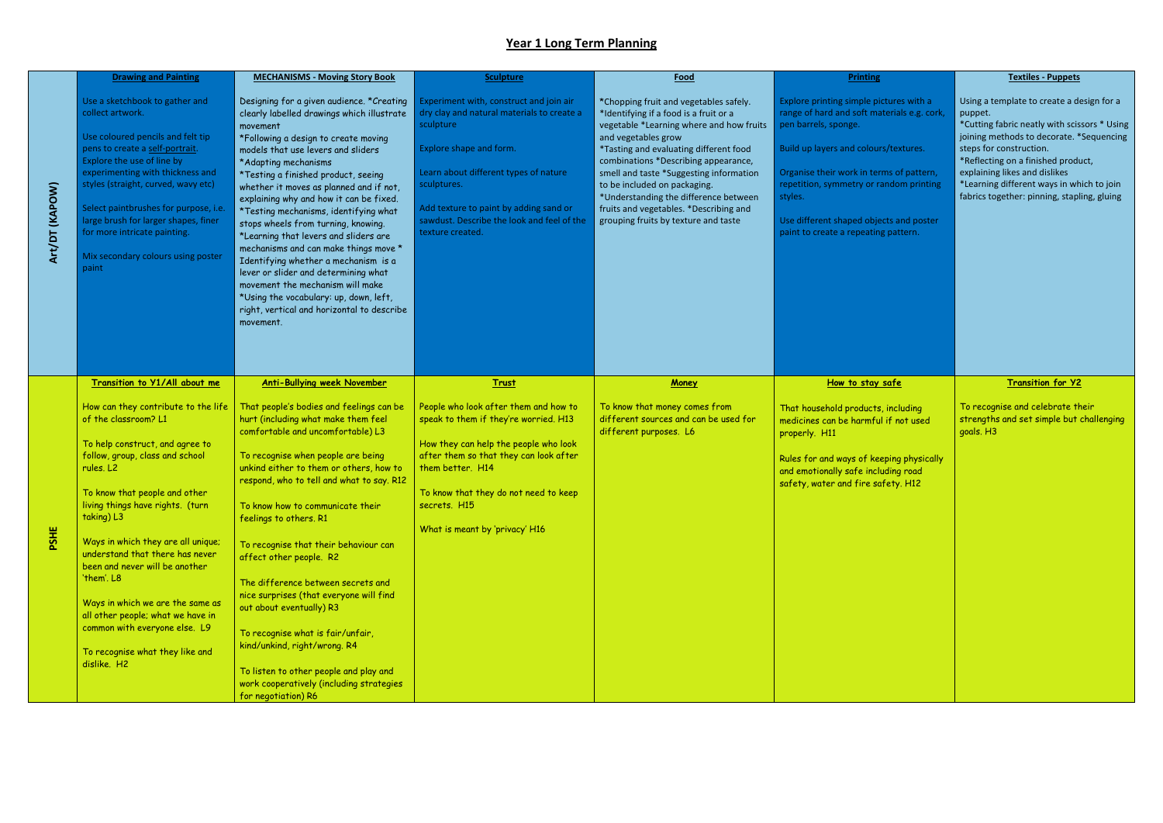|                | <b>Drawing and Painting</b>                                                                                                                                                                                                                                                                                                                                                                                                                                                                                                                             | <b>MECHANISMS - Moving Story Book</b>                                                                                                                                                                                                                                                                                                                                                                                                                                                                                                                                                                                                                                                                                              | <b>Sculpture</b>                                                                                                                                                                                                                                                                                  | Food                                                                                                                                                                                                                                                                                                                                                                                                                                        | <b>Printing</b>                                                                                                                                                                                                                                                                                                                              |
|----------------|---------------------------------------------------------------------------------------------------------------------------------------------------------------------------------------------------------------------------------------------------------------------------------------------------------------------------------------------------------------------------------------------------------------------------------------------------------------------------------------------------------------------------------------------------------|------------------------------------------------------------------------------------------------------------------------------------------------------------------------------------------------------------------------------------------------------------------------------------------------------------------------------------------------------------------------------------------------------------------------------------------------------------------------------------------------------------------------------------------------------------------------------------------------------------------------------------------------------------------------------------------------------------------------------------|---------------------------------------------------------------------------------------------------------------------------------------------------------------------------------------------------------------------------------------------------------------------------------------------------|---------------------------------------------------------------------------------------------------------------------------------------------------------------------------------------------------------------------------------------------------------------------------------------------------------------------------------------------------------------------------------------------------------------------------------------------|----------------------------------------------------------------------------------------------------------------------------------------------------------------------------------------------------------------------------------------------------------------------------------------------------------------------------------------------|
| Art/DT (KAPOW) | Use a sketchbook to gather and<br>collect artwork.<br>Use coloured pencils and felt tip<br>pens to create a self-portrait.<br>Explore the use of line by<br>experimenting with thickness and<br>styles (straight, curved, wavy etc)<br>Select paintbrushes for purpose, i.e.<br>large brush for larger shapes, finer<br>for more intricate painting.<br>Mix secondary colours using poster<br>paint                                                                                                                                                     | Designing for a given audience. * Creating<br>clearly labelled drawings which illustrate<br>movement<br>*Following a design to create moving<br>models that use levers and sliders<br>*Adapting mechanisms<br>*Testing a finished product, seeing<br>whether it moves as planned and if not,<br>explaining why and how it can be fixed.<br>*Testing mechanisms, identifying what<br>stops wheels from turning, knowing.<br>*Learning that levers and sliders are<br>mechanisms and can make things move *<br>Identifying whether a mechanism is a<br>lever or slider and determining what<br>movement the mechanism will make<br>*Using the vocabulary: up, down, left,<br>right, vertical and horizontal to describe<br>movement. | Experiment with, construct and join air<br>dry clay and natural materials to create a<br>sculpture<br>Explore shape and form.<br>Learn about different types of nature<br>sculptures.<br>Add texture to paint by adding sand or<br>sawdust. Describe the look and feel of the<br>texture created. | *Chopping fruit and vegetables safely.<br>*Identifying if a food is a fruit or a<br>vegetable *Learning where and how fruits<br>and vegetables grow<br>*Tasting and evaluating different food<br>combinations *Describing appearance,<br>smell and taste *Suggesting information<br>to be included on packaging.<br>*Understanding the difference between<br>fruits and vegetables. *Describing and<br>grouping fruits by texture and taste | Explore printing simple pictures with a<br>range of hard and soft materials e.g. cork,<br>pen barrels, sponge.<br>Build up layers and colours/textures.<br>Organise their work in terms of pattern,<br>repetition, symmetry or random printing<br>styles.<br>Use different shaped objects and poster<br>paint to create a repeating pattern. |
| PSHE           | Transition to Y1/All about me<br>How can they contribute to the life<br>of the classroom? L1<br>To help construct, and agree to<br>follow, group, class and school<br>rules. L2<br>To know that people and other<br>living things have rights. (turn<br>taking) L3<br>Ways in which they are all unique;<br>understand that there has never<br>been and never will be another<br>'them'. L8<br>Ways in which we are the same as<br>all other people; what we have in<br>common with everyone else. L9<br>To recognise what they like and<br>dislike. H2 | <b>Anti-Bullying week November</b><br>That people's bodies and feelings can be<br>hurt (including what make them feel<br>comfortable and uncomfortable) L3<br>To recognise when people are being<br>unkind either to them or others, how to<br>respond, who to tell and what to say. R12<br>To know how to communicate their<br>feelings to others. R1<br>To recognise that their behaviour can<br>affect other people. R2<br>The difference between secrets and<br>nice surprises (that everyone will find<br>out about eventually) R3<br>To recognise what is fair/unfair,<br>kind/unkind, right/wrong. R4<br>To listen to other people and play and<br>work cooperatively (including strategies<br>for negotiation) R6          | <b>Trust</b><br>People who look after them and how to<br>speak to them if they're worried. H13<br>How they can help the people who look<br>after them so that they can look after<br>them better. H14<br>To know that they do not need to keep<br>secrets. H15<br>What is meant by 'privacy' H16  | Money<br>To know that money comes from<br>different sources and can be used for<br>different purposes. L6                                                                                                                                                                                                                                                                                                                                   | How to stay safe<br>That household products, including<br>medicines can be harmful if not used<br>properly. H11<br>Rules for and ways of keeping physically<br>and emotionally safe including road<br>safety, water and fire safety. H12                                                                                                     |

|                                                                                                                             | <b>Textiles - Puppets</b>                                                                                                                                                                                                                                                                                                                      |
|-----------------------------------------------------------------------------------------------------------------------------|------------------------------------------------------------------------------------------------------------------------------------------------------------------------------------------------------------------------------------------------------------------------------------------------------------------------------------------------|
| ictures with a<br>aterials e.g. cork,<br>rs/textures.<br>rms of pattern,<br>andom printing<br>ects and poster<br>g pattern. | Using a template to create a design for a<br>puppet.<br>*Cutting fabric neatly with scissors * Using<br>joining methods to decorate. *Sequencing<br>steps for construction.<br>*Reflecting on a finished product,<br>explaining likes and dislikes<br>*Learning different ways in which to join<br>fabrics together: pinning, stapling, gluing |
| safe                                                                                                                        | <b>Transition for Y2</b>                                                                                                                                                                                                                                                                                                                       |
| s, including<br>Il if not used<br>eping physically.<br>uding road<br>afety. H12                                             | To recognise and celebrate their<br>strengths and set simple but challenging<br>goals. H3                                                                                                                                                                                                                                                      |